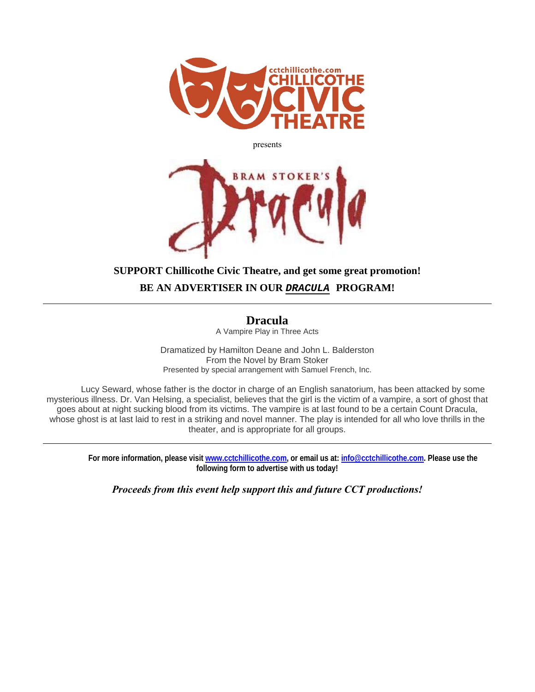

presents



## **SUPPORT Chillicothe Civic Theatre, and get some great promotion! BE AN ADVERTISER IN OUR** *DRACULA* **PROGRAM!**

**Dracula**  A Vampire Play in Three Acts

Dramatized by Hamilton Deane and John L. Balderston From the Novel by Bram Stoker

Presented by special arrangement with Samuel French, Inc.

Lucy Seward, whose father is the doctor in charge of an English sanatorium, has been attacked by some mysterious illness. Dr. Van Helsing, a specialist, believes that the girl is the victim of a vampire, a sort of ghost that goes about at night sucking blood from its victims. The vampire is at last found to be a certain Count Dracula, whose ghost is at last laid to rest in a striking and novel manner. The play is intended for all who love thrills in the theater, and is appropriate for all groups.

**For more information, please visit www.cctchillicothe.com, or email us at: info@cctchillicothe.com. Please use the following form to advertise with us today!** 

*Proceeds from this event help support this and future CCT productions!*